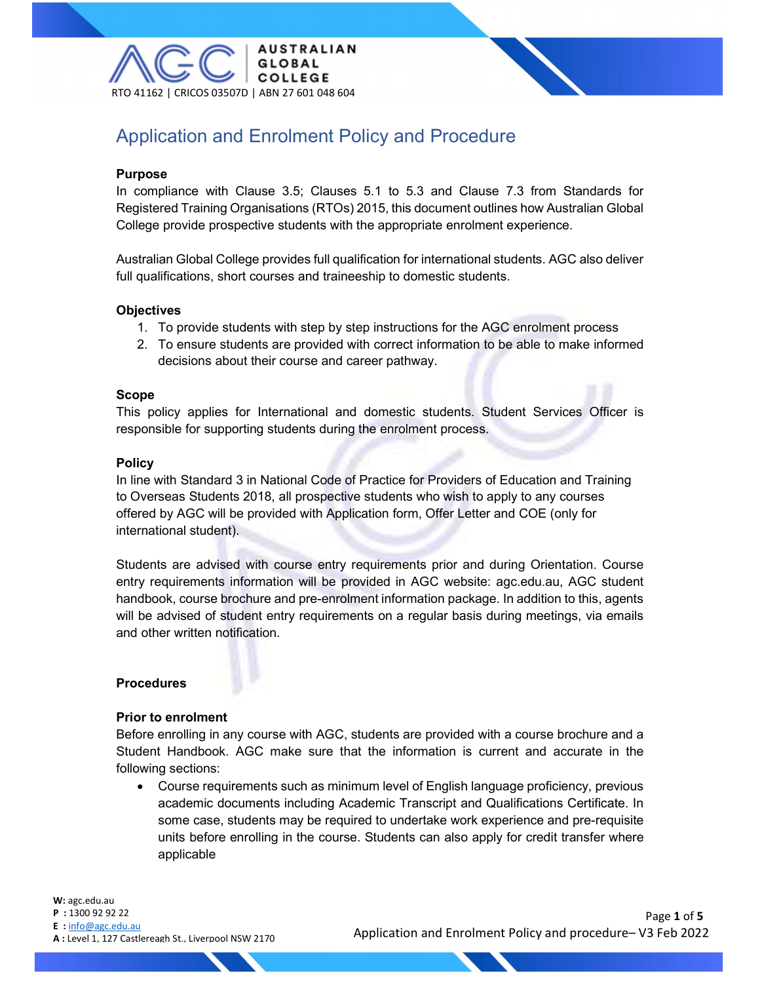

# Application and Enrolment Policy and Procedure

#### Purpose

In compliance with Clause 3.5; Clauses 5.1 to 5.3 and Clause 7.3 from Standards for Registered Training Organisations (RTOs) 2015, this document outlines how Australian Global College provide prospective students with the appropriate enrolment experience.

Australian Global College provides full qualification for international students. AGC also deliver full qualifications, short courses and traineeship to domestic students.

#### **Objectives**

- 1. To provide students with step by step instructions for the AGC enrolment process
- 2. To ensure students are provided with correct information to be able to make informed decisions about their course and career pathway.

#### Scope

This policy applies for International and domestic students. Student Services Officer is responsible for supporting students during the enrolment process.

#### **Policy**

In line with Standard 3 in National Code of Practice for Providers of Education and Training to Overseas Students 2018, all prospective students who wish to apply to any courses offered by AGC will be provided with Application form, Offer Letter and COE (only for international student).

Students are advised with course entry requirements prior and during Orientation. Course entry requirements information will be provided in AGC website: agc.edu.au, AGC student handbook, course brochure and pre-enrolment information package. In addition to this, agents will be advised of student entry requirements on a regular basis during meetings, via emails and other written notification.

#### Procedures

#### Prior to enrolment

Before enrolling in any course with AGC, students are provided with a course brochure and a Student Handbook. AGC make sure that the information is current and accurate in the following sections:

 Course requirements such as minimum level of English language proficiency, previous academic documents including Academic Transcript and Qualifications Certificate. In some case, students may be required to undertake work experience and pre-requisite units before enrolling in the course. Students can also apply for credit transfer where applicable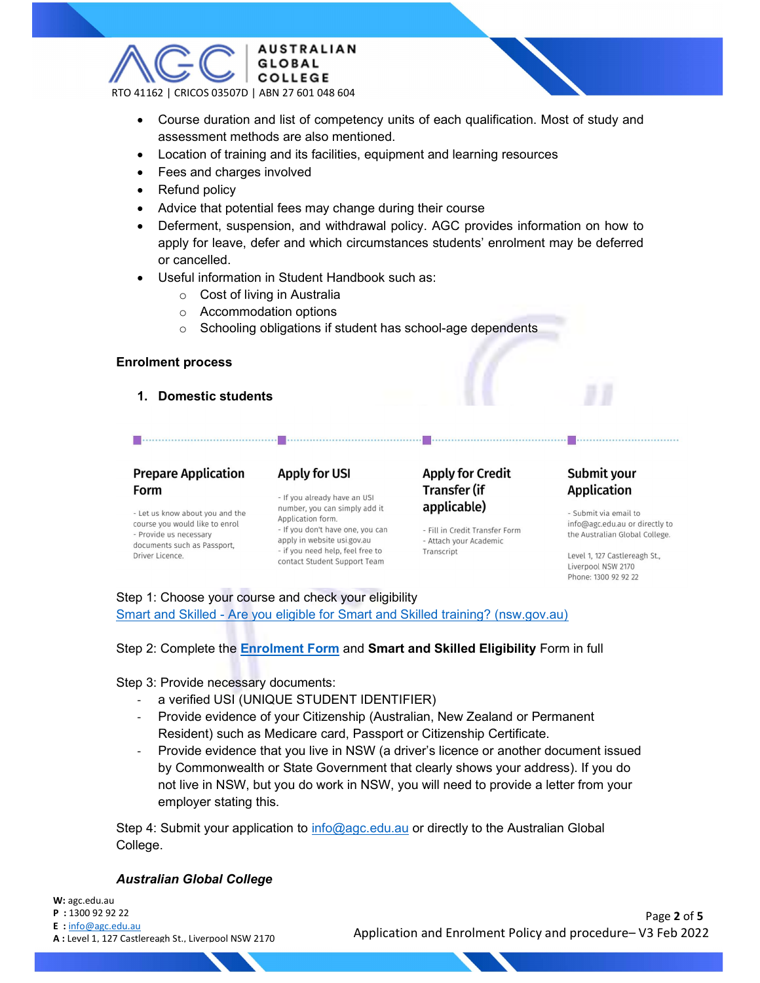

- Course duration and list of competency units of each qualification. Most of study and assessment methods are also mentioned.
- Location of training and its facilities, equipment and learning resources
- Fees and charges involved
- Refund policy
- Advice that potential fees may change during their course
- Deferment, suspension, and withdrawal policy. AGC provides information on how to apply for leave, defer and which circumstances students' enrolment may be deferred or cancelled.
- Useful information in Student Handbook such as:
	- o Cost of living in Australia
	- o Accommodation options
	- o Schooling obligations if student has school-age dependents

#### Enrolment process

#### 1. Domestic students

### **Prepare Application** Form

## **Apply for USI**

- Let us know about you and the course you would like to enrol - Provide us necessary documents such as Passport. Driver Licence.

#### - If you already have an USI number, you can simply add it Application form. - If you don't have one, you can apply in website usi.gov.au - if you need help, feel free to contact Student Support Team

**Apply for Credit Transfer (if** applicable)

- Fill in Credit Transfer Form - Attach your Academic Transcript

### Submit your **Application**

- Submit via email to info@agc.edu.au or directly to the Australian Global College.

Level 1, 127 Castlereagh St., Liverpool NSW 2170 Phone: 1300 92 92 22

Step 1: Choose your course and check your eligibility Smart and Skilled - Are you eligible for Smart and Skilled training? (nsw.gov.au)

Step 2: Complete the Enrolment Form and Smart and Skilled Eligibility Form in full

Step 3: Provide necessary documents:

- a verified USI (UNIQUE STUDENT IDENTIFIER)
- Provide evidence of your Citizenship (Australian, New Zealand or Permanent Resident) such as Medicare card, Passport or Citizenship Certificate.
- Provide evidence that you live in NSW (a driver's licence or another document issued by Commonwealth or State Government that clearly shows your address). If you do not live in NSW, but you do work in NSW, you will need to provide a letter from your employer stating this.

Step 4: Submit your application to info@agc.edu.au or directly to the Australian Global College.

#### Australian Global College

W: agc.edu.au P : 1300 92 92 22 E : info@agc.edu.au A : Level 1, 127 Castlereagh St., Liverpool NSW 2170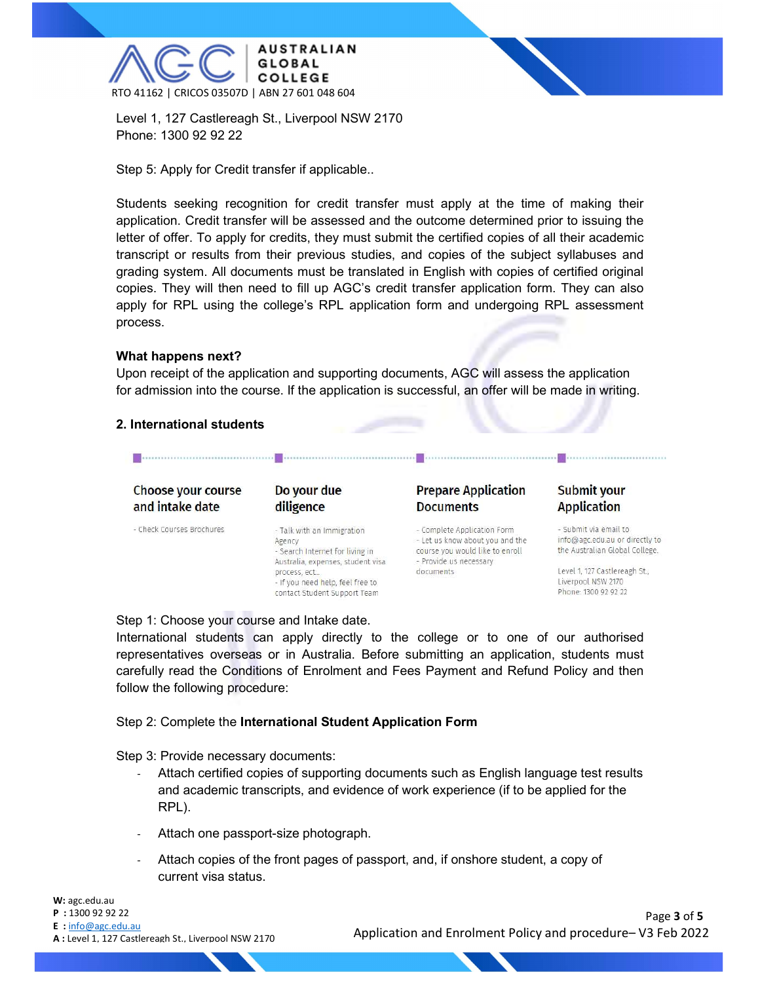

Level 1, 127 Castlereagh St., Liverpool NSW 2170 Phone: 1300 92 92 22

Step 5: Apply for Credit transfer if applicable..

Students seeking recognition for credit transfer must apply at the time of making their application. Credit transfer will be assessed and the outcome determined prior to issuing the letter of offer. To apply for credits, they must submit the certified copies of all their academic transcript or results from their previous studies, and copies of the subject syllabuses and grading system. All documents must be translated in English with copies of certified original copies. They will then need to fill up AGC's credit transfer application form. They can also apply for RPL using the college's RPL application form and undergoing RPL assessment process.

#### What happens next?

Upon receipt of the application and supporting documents, AGC will assess the application for admission into the course. If the application is successful, an offer will be made in writing.

#### 2. International students

#### **Choose your course** Do your due **Prepare Application** Submit your and intake date diligence **Documents Application** - Check Courses Brochures - Talk with an Immigration - Complete Application Form - Submit via email to - Let us know about you and the info@agc.edu.au or directly to Agency - Search Internet for living in course you would like to enroll the Australian Global College. - Provide us necessary Australia, expenses, student visa process, ect. documents Level 1, 127 Castlereagh St., Liverpool NSW 2170 - If you need help, feel free to contact Student Support Team Phone: 1300 92 92 22

. . . . . . . . . . . . . . .

Step 1: Choose your course and Intake date.

International students can apply directly to the college or to one of our authorised representatives overseas or in Australia. Before submitting an application, students must carefully read the Conditions of Enrolment and Fees Payment and Refund Policy and then follow the following procedure:

#### Step 2: Complete the International Student Application Form

Step 3: Provide necessary documents:

- Attach certified copies of supporting documents such as English language test results and academic transcripts, and evidence of work experience (if to be applied for the RPL).
- Attach one passport-size photograph.
- Attach copies of the front pages of passport, and, if onshore student, a copy of current visa status.

 Page 3 of 5 Application and Enrolment Policy and procedure– V3 Feb 2022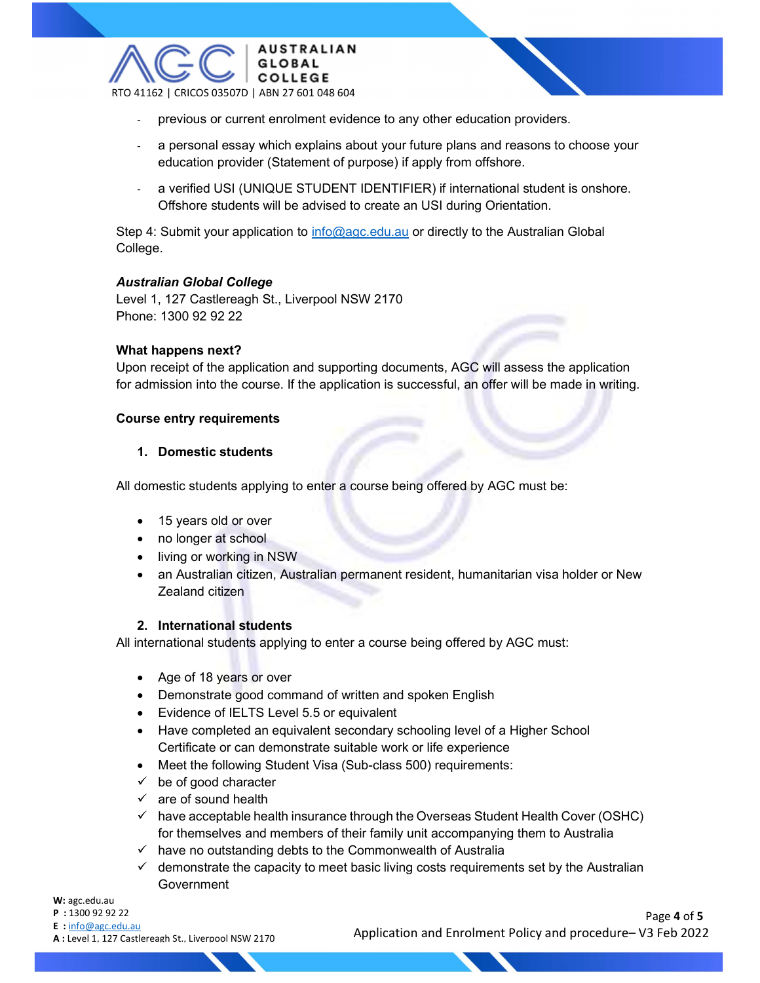

- previous or current enrolment evidence to any other education providers.
- a personal essay which explains about your future plans and reasons to choose your education provider (Statement of purpose) if apply from offshore.
- a verified USI (UNIQUE STUDENT IDENTIFIER) if international student is onshore. Offshore students will be advised to create an USI during Orientation.

Step 4: Submit your application to info@agc.edu.au or directly to the Australian Global College.

#### Australian Global College

Level 1, 127 Castlereagh St., Liverpool NSW 2170 Phone: 1300 92 92 22

#### What happens next?

Upon receipt of the application and supporting documents, AGC will assess the application for admission into the course. If the application is successful, an offer will be made in writing.

#### Course entry requirements

#### 1. Domestic students

All domestic students applying to enter a course being offered by AGC must be:

- 15 years old or over
- no longer at school
- living or working in NSW
- an Australian citizen, Australian permanent resident, humanitarian visa holder or New Zealand citizen

#### 2. International students

All international students applying to enter a course being offered by AGC must:

- Age of 18 years or over
- Demonstrate good command of written and spoken English
- Evidence of IELTS Level 5.5 or equivalent
- Have completed an equivalent secondary schooling level of a Higher School Certificate or can demonstrate suitable work or life experience
- Meet the following Student Visa (Sub-class 500) requirements:
- $\checkmark$  be of good character
- $\checkmark$  are of sound health
- $\checkmark$  have acceptable health insurance through the Overseas Student Health Cover (OSHC) for themselves and members of their family unit accompanying them to Australia
- $\checkmark$  have no outstanding debts to the Commonwealth of Australia
- $\checkmark$  demonstrate the capacity to meet basic living costs requirements set by the Australian Government